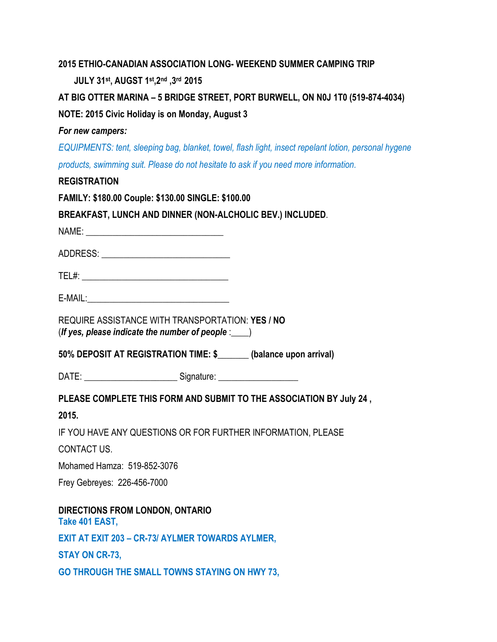## **2015 ETHIO-CANADIAN ASSOCIATION LONG- WEEKEND SUMMER CAMPING TRIP**

 **JULY 31st, AUGST 1 st,2nd ,3rd 2015**

**AT BIG OTTER MARINA – 5 BRIDGE STREET, PORT BURWELL, ON N0J 1T0 (519-874-4034) NOTE: 2015 Civic Holiday is on Monday, August 3**

## *For new campers:*

*EQUIPMENTS: tent, sleeping bag, blanket, towel, flash light, insect repelant lotion, personal hygene products, swimming suit. Please do not hesitate to ask if you need more information.*

## **REGISTRATION**

**FAMILY: \$180.00 Couple: \$130.00 SINGLE: \$100.00**

**BREAKFAST, LUNCH AND DINNER (NON-ALCHOLIC BEV.) INCLUDED**.

NAME:

ADDRESS: \_\_\_\_\_\_\_\_\_\_\_\_\_\_\_\_\_\_\_\_\_\_\_\_\_\_\_\_\_

TEL#: \_\_\_\_\_\_\_\_\_\_\_\_\_\_\_\_\_\_\_\_\_\_\_\_\_\_\_\_\_\_\_\_\_

 $E\text{-}$ MAIL: $\blacksquare$ 

REQUIRE ASSISTANCE WITH TRANSPORTATION: **YES / NO** (*If yes, please indicate the number of people* :\_\_\_\_)

**50% DEPOSIT AT REGISTRATION TIME: \$\_\_\_\_\_\_\_ (balance upon arrival)**

DATE: \_\_\_\_\_\_\_\_\_\_\_\_\_\_\_\_\_\_\_\_\_\_\_\_\_\_\_\_ Signature: \_\_\_\_\_\_\_\_\_\_\_\_\_\_\_\_\_\_\_\_\_\_\_\_\_\_\_\_\_\_\_\_\_\_

**PLEASE COMPLETE THIS FORM AND SUBMIT TO THE ASSOCIATION BY July 24 ,**

**2015.**

IF YOU HAVE ANY QUESTIONS OR FOR FURTHER INFORMATION, PLEASE

CONTACT US.

Mohamed Hamza: 519-852-3076

Frey Gebreyes: 226-456-7000

**DIRECTIONS FROM LONDON, ONTARIO Take 401 EAST, EXIT AT EXIT 203 – CR-73/ AYLMER TOWARDS AYLMER, STAY ON CR-73,**

**GO THROUGH THE SMALL TOWNS STAYING ON HWY 73,**